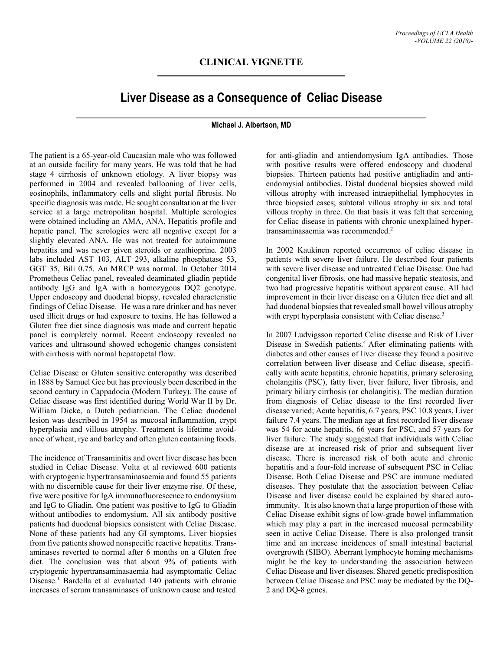## **Liver Disease as a Consequence of Celiac Disease**

## **Michael J. Albertson, MD**

The patient is a 65-year-old Caucasian male who was followed at an outside facility for many years. He was told that he had stage 4 cirrhosis of unknown etiology. A liver biopsy was performed in 2004 and revealed ballooning of liver cells, eosinophils, inflammatory cells and slight portal fibrosis. No specific diagnosis was made. He sought consultation at the liver service at a large metropolitan hospital. Multiple serologies were obtained including an AMA, ANA, Hepatitis profile and hepatic panel. The serologies were all negative except for a slightly elevated ANA. He was not treated for autoimmune hepatitis and was never given steroids or azathioprine. 2003 labs included AST 103, ALT 293, alkaline phosphatase 53, GGT 35, Bili 0.75. An MRCP was normal. In October 2014 Prometheus Celiac panel, revealed deaminated gliadin peptide antibody IgG and IgA with a homozygous DQ2 genotype. Upper endoscopy and duodenal biopsy, revealed characteristic findings of Celiac Disease. He was a rare drinker and has never used illicit drugs or had exposure to toxins. He has followed a Gluten free diet since diagnosis was made and current hepatic panel is completely normal. Recent endoscopy revealed no varices and ultrasound showed echogenic changes consistent with cirrhosis with normal hepatopetal flow.

Celiac Disease or Gluten sensitive enteropathy was described in 1888 by Samuel Gee but has previously been described in the second century in Cappadocia (Modern Turkey). The cause of Celiac disease was first identified during World War II by Dr. William Dicke, a Dutch pediatrician. The Celiac duodenal lesion was described in 1954 as mucosal inflammation, crypt hyperplasia and villous atrophy. Treatment is lifetime avoidance of wheat, rye and barley and often gluten containing foods.

The incidence of Transaminitis and overt liver disease has been studied in Celiac Disease. Volta et al reviewed 600 patients with cryptogenic hypertransaminasaemia and found 55 patients with no discernible cause for their liver enzyme rise. Of these, five were positive for IgA immunofluorescence to endomysium and IgG to Gliadin. One patient was positive to IgG to Gliadin without antibodies to endomysium. All six antibody positive patients had duodenal biopsies consistent with Celiac Disease. None of these patients had any GI symptoms. Liver biopsies from five patients showed nonspecific reactive hepatitis. Transaminases reverted to normal after 6 months on a Gluten free diet. The conclusion was that about 9% of patients with cryptogenic hypertransaminasaemia had asymptomatic Celiac Disease.<sup>1</sup> Bardella et al evaluated 140 patients with chronic increases of serum transaminases of unknown cause and tested

for anti-gliadin and antiendomysium IgA antibodies. Those with positive results were offered endoscopy and duodenal biopsies. Thirteen patients had positive antigliadin and antiendomysial antibodies. Distal duodenal biopsies showed mild villous atrophy with increased intraepithelial lymphocytes in three biopsied cases; subtotal villous atrophy in six and total villous trophy in three. On that basis it was felt that screening for Celiac disease in patients with chronic unexplained hypertransaminasaemia was recommended. 2

In 2002 Kaukinen reported occurrence of celiac disease in patients with severe liver failure. He described four patients with severe liver disease and untreated Celiac Disease. One had congenital liver fibrosis, one had massive hepatic steatosis, and two had progressive hepatitis without apparent cause. All had improvement in their liver disease on a Gluten free diet and all had duodenal biopsies that revealed small bowel villous atrophy with crypt hyperplasia consistent with Celiac disease.<sup>3</sup>

In 2007 Ludvigsson reported Celiac disease and Risk of Liver Disease in Swedish patients. 4 After eliminating patients with diabetes and other causes of liver disease they found a positive correlation between liver disease and Celiac disease, specifically with acute hepatitis, chronic hepatitis, primary sclerosing cholangitis (PSC), fatty liver, liver failure, liver fibrosis, and primary biliary cirrhosis (or cholangitis). The median duration from diagnosis of Celiac disease to the first recorded liver disease varied; Acute hepatitis, 6.7 years, PSC 10.8 years, Liver failure 7.4 years. The median age at first recorded liver disease was 54 for acute hepatitis, 66 years for PSC, and 57 years for liver failure. The study suggested that individuals with Celiac disease are at increased risk of prior and subsequent liver disease. There is increased risk of both acute and chronic hepatitis and a four-fold increase of subsequent PSC in Celiac Disease. Both Celiac Disease and PSC are immune mediated diseases. They postulate that the association between Celiac Disease and liver disease could be explained by shared autoimmunity. It is also known that a large proportion of those with Celiac Disease exhibit signs of low-grade bowel inflammation which may play a part in the increased mucosal permeability seen in active Celiac Disease. There is also prolonged transit time and an increase incidences of small intestinal bacterial overgrowth (SIBO). Aberrant lymphocyte homing mechanisms might be the key to understanding the association between Celiac Disease and liver diseases. Shared genetic predisposition between Celiac Disease and PSC may be mediated by the DQ-2 and DQ-8 genes.